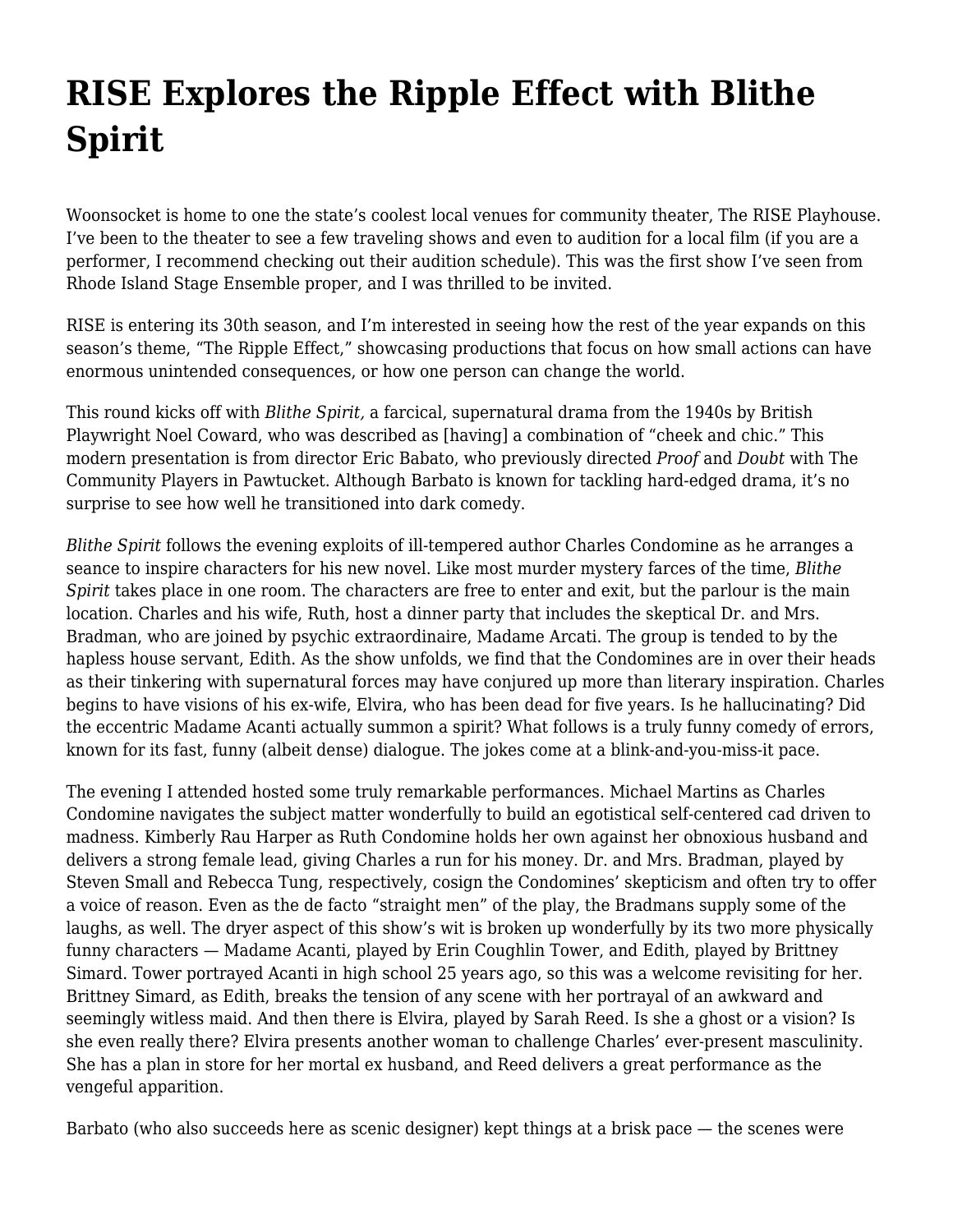## **[RISE Explores the Ripple Effect with Blithe](https://motifri.com/blithe-spirit/) [Spirit](https://motifri.com/blithe-spirit/)**

Woonsocket is home to one the state's coolest local venues for community theater, The RISE Playhouse. I've been to the theater to see a few traveling shows and even to audition for a local film (if you are a performer, I recommend checking out their audition schedule). This was the first show I've seen from Rhode Island Stage Ensemble proper, and I was thrilled to be invited.

RISE is entering its 30th season, and I'm interested in seeing how the rest of the year expands on this season's theme, "The Ripple Effect," showcasing productions that focus on how small actions can have enormous unintended consequences, or how one person can change the world.

This round kicks off with *Blithe Spirit,* a farcical, supernatural drama from the 1940s by British Playwright Noel Coward, who was described as [having] a combination of "cheek and chic." This modern presentation is from director Eric Babato, who previously directed *Proof* and *Doubt* with The Community Players in Pawtucket. Although Barbato is known for tackling hard-edged drama, it's no surprise to see how well he transitioned into dark comedy.

*Blithe Spirit* follows the evening exploits of ill-tempered author Charles Condomine as he arranges a seance to inspire characters for his new novel. Like most murder mystery farces of the time, *Blithe Spirit* takes place in one room. The characters are free to enter and exit, but the parlour is the main location. Charles and his wife, Ruth, host a dinner party that includes the skeptical Dr. and Mrs. Bradman, who are joined by psychic extraordinaire, Madame Arcati. The group is tended to by the hapless house servant, Edith. As the show unfolds, we find that the Condomines are in over their heads as their tinkering with supernatural forces may have conjured up more than literary inspiration. Charles begins to have visions of his ex-wife, Elvira, who has been dead for five years. Is he hallucinating? Did the eccentric Madame Acanti actually summon a spirit? What follows is a truly funny comedy of errors, known for its fast, funny (albeit dense) dialogue. The jokes come at a blink-and-you-miss-it pace.

The evening I attended hosted some truly remarkable performances. Michael Martins as Charles Condomine navigates the subject matter wonderfully to build an egotistical self-centered cad driven to madness. Kimberly Rau Harper as Ruth Condomine holds her own against her obnoxious husband and delivers a strong female lead, giving Charles a run for his money. Dr. and Mrs. Bradman, played by Steven Small and Rebecca Tung, respectively, cosign the Condomines' skepticism and often try to offer a voice of reason. Even as the de facto "straight men" of the play, the Bradmans supply some of the laughs, as well. The dryer aspect of this show's wit is broken up wonderfully by its two more physically funny characters — Madame Acanti, played by Erin Coughlin Tower, and Edith, played by Brittney Simard. Tower portrayed Acanti in high school 25 years ago, so this was a welcome revisiting for her. Brittney Simard, as Edith, breaks the tension of any scene with her portrayal of an awkward and seemingly witless maid. And then there is Elvira, played by Sarah Reed. Is she a ghost or a vision? Is she even really there? Elvira presents another woman to challenge Charles' ever-present masculinity. She has a plan in store for her mortal ex husband, and Reed delivers a great performance as the vengeful apparition.

Barbato (who also succeeds here as scenic designer) kept things at a brisk pace — the scenes were